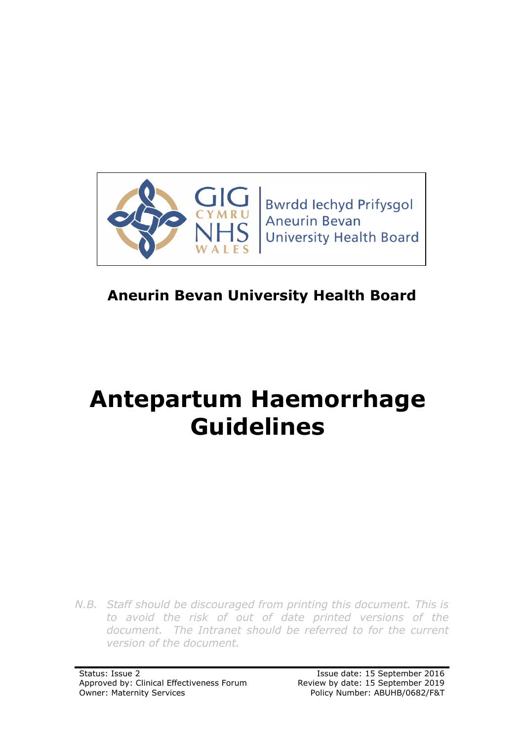

# **Aneurin Bevan University Health Board**

# **Antepartum Haemorrhage Guidelines**

*N.B. Staff should be discouraged from printing this document. This is to avoid the risk of out of date printed versions of the document. The Intranet should be referred to for the current version of the document.*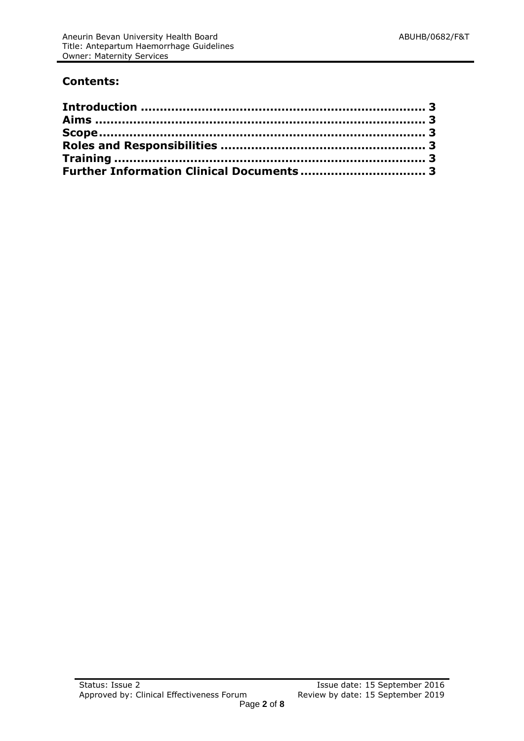# **Contents:**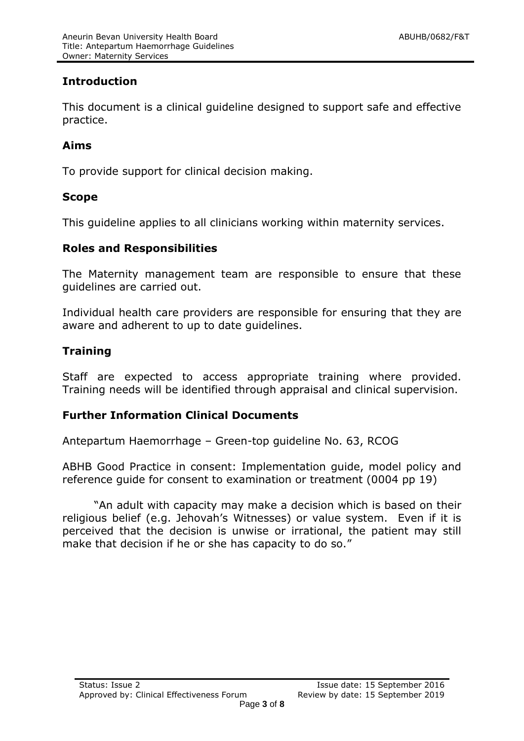# <span id="page-2-0"></span>**Introduction**

This document is a clinical guideline designed to support safe and effective practice.

# <span id="page-2-1"></span>**Aims**

To provide support for clinical decision making.

#### <span id="page-2-2"></span>**Scope**

This guideline applies to all clinicians working within maternity services.

#### <span id="page-2-3"></span>**Roles and Responsibilities**

The Maternity management team are responsible to ensure that these guidelines are carried out.

Individual health care providers are responsible for ensuring that they are aware and adherent to up to date guidelines.

# <span id="page-2-4"></span>**Training**

Staff are expected to access appropriate training where provided. Training needs will be identified through appraisal and clinical supervision.

#### <span id="page-2-5"></span>**Further Information Clinical Documents**

Antepartum Haemorrhage – Green-top guideline No. 63, RCOG

ABHB Good Practice in consent: Implementation guide, model policy and reference guide for consent to examination or treatment (0004 pp 19)

"An adult with capacity may make a decision which is based on their religious belief (e.g. Jehovah's Witnesses) or value system. Even if it is perceived that the decision is unwise or irrational, the patient may still make that decision if he or she has capacity to do so."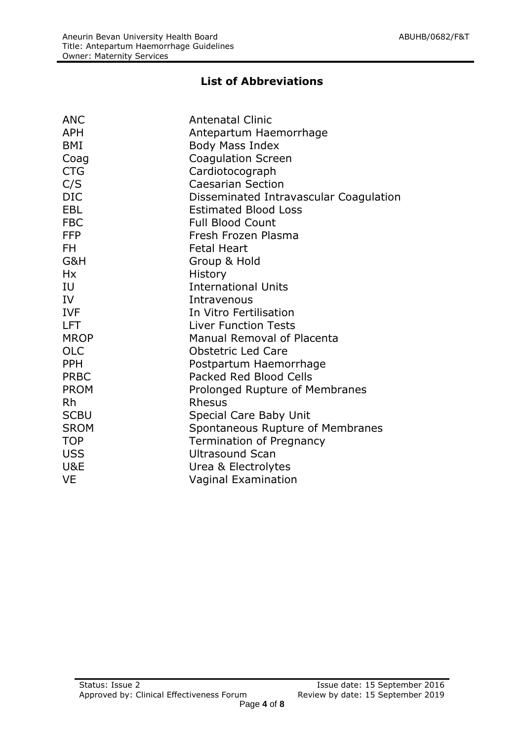# **List of Abbreviations**

| <b>ANC</b>  | <b>Antenatal Clinic</b>                |
|-------------|----------------------------------------|
| <b>APH</b>  | Antepartum Haemorrhage                 |
| BMI         | Body Mass Index                        |
| Coag        | <b>Coagulation Screen</b>              |
| <b>CTG</b>  | Cardiotocograph                        |
| C/S         | <b>Caesarian Section</b>               |
| <b>DIC</b>  | Disseminated Intravascular Coagulation |
| <b>EBL</b>  | <b>Estimated Blood Loss</b>            |
| <b>FBC</b>  | <b>Full Blood Count</b>                |
| <b>FFP</b>  | Fresh Frozen Plasma                    |
| FH.         | <b>Fetal Heart</b>                     |
| G&H         | Group & Hold                           |
| <b>Hx</b>   | History                                |
| IU          | <b>International Units</b>             |
| IV          | Intravenous                            |
| <b>IVF</b>  | In Vitro Fertilisation                 |
| <b>LFT</b>  | <b>Liver Function Tests</b>            |
| <b>MROP</b> | <b>Manual Removal of Placenta</b>      |
| <b>OLC</b>  | <b>Obstetric Led Care</b>              |
| <b>PPH</b>  | Postpartum Haemorrhage                 |
| <b>PRBC</b> | <b>Packed Red Blood Cells</b>          |
| <b>PROM</b> | Prolonged Rupture of Membranes         |
| <b>Rh</b>   | Rhesus                                 |
| <b>SCBU</b> | Special Care Baby Unit                 |
| <b>SROM</b> | Spontaneous Rupture of Membranes       |
| <b>TOP</b>  | <b>Termination of Pregnancy</b>        |
| <b>USS</b>  | <b>Ultrasound Scan</b>                 |
| U&E         | Urea & Electrolytes                    |
| <b>VE</b>   | <b>Vaginal Examination</b>             |
|             |                                        |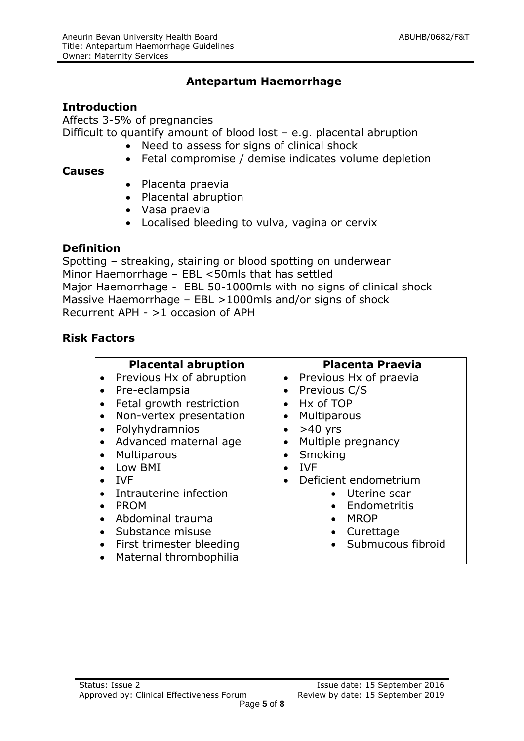# **Antepartum Haemorrhage**

#### **Introduction**

Affects 3-5% of pregnancies Difficult to quantify amount of blood lost – e.g. placental abruption

- Need to assess for signs of clinical shock
- Fetal compromise / demise indicates volume depletion

#### **Causes**

- Placenta praevia
- Placental abruption
- Vasa praevia
- Localised bleeding to vulva, vagina or cervix

# **Definition**

Spotting – streaking, staining or blood spotting on underwear Minor Haemorrhage – EBL <50mls that has settled Major Haemorrhage - EBL 50-1000mls with no signs of clinical shock Massive Haemorrhage – EBL >1000mls and/or signs of shock Recurrent APH - >1 occasion of APH

# **Risk Factors**

|           | <b>Placental abruption</b> |           | <b>Placenta Praevia</b> |
|-----------|----------------------------|-----------|-------------------------|
| $\bullet$ | Previous Hx of abruption   | $\bullet$ | Previous Hx of praevia  |
| $\bullet$ | Pre-eclampsia              | $\bullet$ | Previous C/S            |
| $\bullet$ | Fetal growth restriction   | $\bullet$ | Hx of TOP               |
| ٠         | Non-vertex presentation    |           | Multiparous             |
| $\bullet$ | Polyhydramnios             | $\bullet$ | $>40$ yrs               |
| $\bullet$ | Advanced maternal age      | $\bullet$ | Multiple pregnancy      |
|           | <b>Multiparous</b>         |           | Smoking                 |
|           | Low BMI                    | $\bullet$ | <b>IVF</b>              |
|           | <b>IVF</b>                 |           | Deficient endometrium   |
|           | Intrauterine infection     |           | • Uterine scar          |
| $\bullet$ | <b>PROM</b>                |           | • Endometritis          |
|           | Abdominal trauma           |           | <b>MROP</b>             |
| $\bullet$ | Substance misuse           |           | Curettage               |
| $\bullet$ | First trimester bleeding   |           | • Submucous fibroid     |
|           | • Maternal thrombophilia   |           |                         |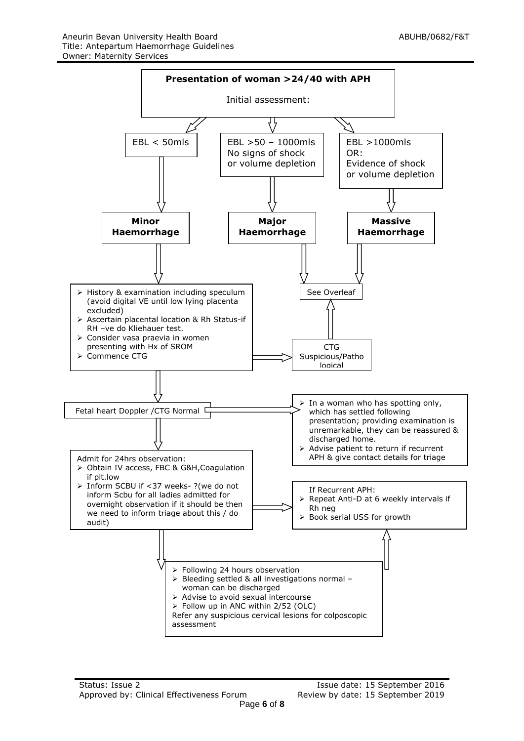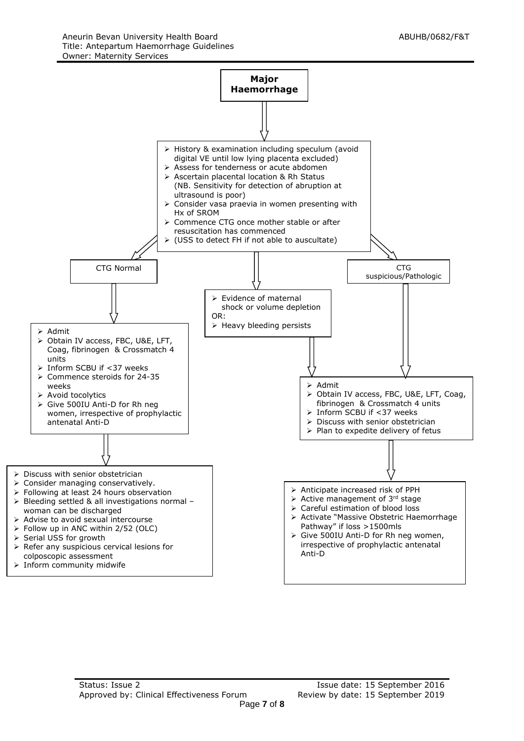